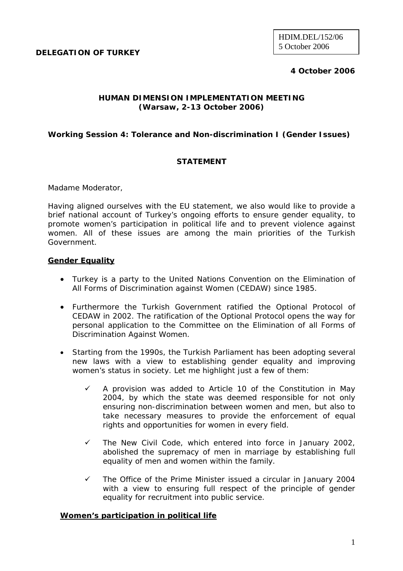**DELEGATION OF TURKEY** 

# **4 October 2006**

## **HUMAN DIMENSION IMPLEMENTATION MEETING (Warsaw, 2-13 October 2006)**

## **Working Session 4: Tolerance and Non-discrimination I (Gender Issues)**

## **STATEMENT**

Madame Moderator,

Having aligned ourselves with the EU statement, we also would like to provide a brief national account of Turkey's ongoing efforts to ensure gender equality, to promote women's participation in political life and to prevent violence against women. All of these issues are among the main priorities of the Turkish Government.

### **Gender Equality**

- Turkey is a party to the United Nations Convention on the Elimination of All Forms of Discrimination against Women (CEDAW) since 1985.
- Furthermore the Turkish Government ratified the Optional Protocol of CEDAW in 2002. The ratification of the Optional Protocol opens the way for personal application to the Committee on the Elimination of all Forms of Discrimination Against Women.
- Starting from the 1990s, the Turkish Parliament has been adopting several new laws with a view to establishing gender equality and improving women's status in society. Let me highlight just a few of them:
	- 9 A provision was added to Article 10 of the Constitution in May 2004, by which the state was deemed responsible for not only ensuring non-discrimination between women and men, but also to take necessary measures to provide the enforcement of equal rights and opportunities for women in every field.
	- $\checkmark$  The New Civil Code, which entered into force in January 2002, abolished the supremacy of men in marriage by establishing full equality of men and women within the family.
	- $\checkmark$  The Office of the Prime Minister issued a circular in January 2004 with a view to ensuring full respect of the principle of gender equality for recruitment into public service.

### **Women's participation in political life**